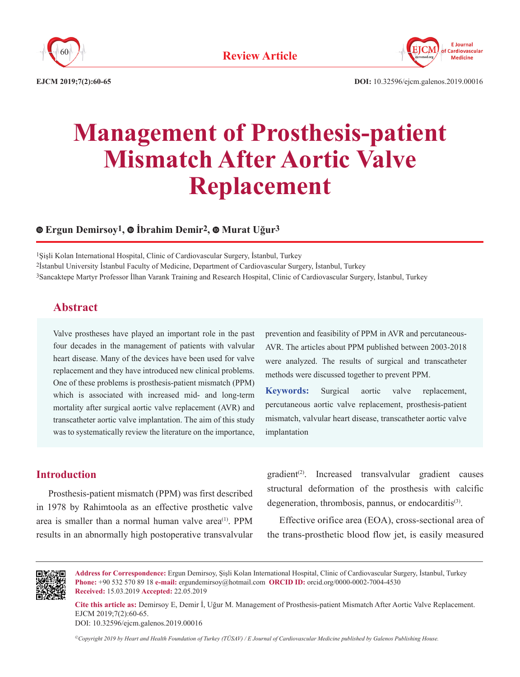



**EJCM 2019;7(2):60-65 DOI:** 10.32596/ejcm.galenos.2019.00016

# **Management of Prosthesis-patient Mismatch After Aortic Valve Replacement**

## **Ergun Demirsoy1,İbrahim Demir2,Murat Uğur3**

1Şişli Kolan International Hospital, Clinic of Cardiovascular Surgery, İstanbul, Turkey 2İstanbul University İstanbul Faculty of Medicine, Department of Cardiovascular Surgery, İstanbul, Turkey 3Sancaktepe Martyr Professor İlhan Varank Training and Research Hospital, Clinic of Cardiovascular Surgery, İstanbul, Turkey

## **Abstract**

Valve prostheses have played an important role in the past four decades in the management of patients with valvular heart disease. Many of the devices have been used for valve replacement and they have introduced new clinical problems. One of these problems is prosthesis-patient mismatch (PPM) which is associated with increased mid- and long-term mortality after surgical aortic valve replacement (AVR) and transcatheter aortic valve implantation. The aim of this study was to systematically review the literature on the importance,

prevention and feasibility of PPM in AVR and percutaneous-AVR. The articles about PPM published between 2003-2018 were analyzed. The results of surgical and transcatheter methods were discussed together to prevent PPM.

**Keywords:** Surgical aortic valve replacement, percutaneous aortic valve replacement, prosthesis-patient mismatch, valvular heart disease, transcatheter aortic valve implantation

### **Introduction**

Prosthesis-patient mismatch (PPM) was first described in 1978 by Rahimtoola as an effective prosthetic valve area is smaller than a normal human valve area<sup> $(1)$ </sup>. PPM results in an abnormally high postoperative transvalvular  $gradient<sup>(2)</sup>$ . Increased transvalvular gradient causes structural deformation of the prosthesis with calcific degeneration, thrombosis, pannus, or endocarditis<sup>(3)</sup>.

Effective orifice area (EOA), cross-sectional area of the trans-prosthetic blood flow jet, is easily measured



**Address for Correspondence:** Ergun Demirsoy, Şişli Kolan International Hospital, Clinic of Cardiovascular Surgery, İstanbul, Turkey **Phone:** +90 532 570 89 18 **e-mail:** ergundemirsoy@hotmail.com **ORCID ID:** orcid.org/0000-0002-7004-4530 **Received:** 15.03.2019 **Accepted:** 22.05.2019

**Cite this article as:** Demirsoy E, Demir İ, Uğur M. Management of Prosthesis-patient Mismatch After Aortic Valve Replacement. EJCM 2019;7(2):60-65.

DOI: 10.32596/ejcm.galenos.2019.00016

*©Copyright 2019 by Heart and Health Foundation of Turkey (TÜSAV) / E Journal of Cardiovascular Medicine published by Galenos Publishing House.*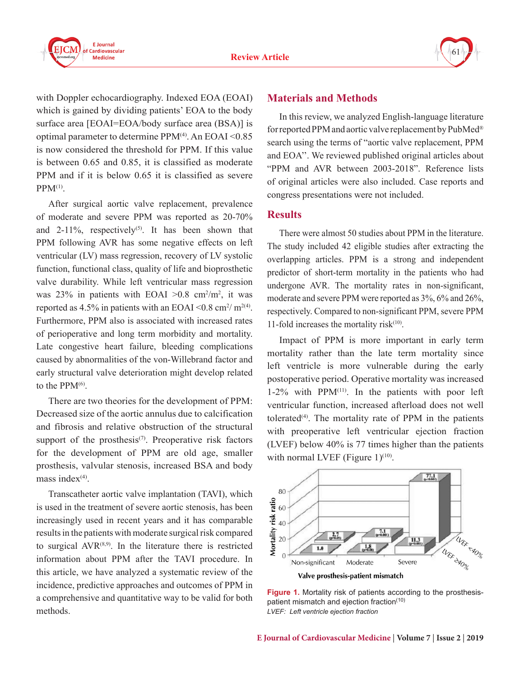



with Doppler echocardiography. Indexed EOA (EOAI) which is gained by dividing patients' EOA to the body surface area [EOAI=EOA/body surface area (BSA)] is optimal parameter to determine  $PPM<sup>(4)</sup>$ . An  $EOAI < 0.85$ is now considered the threshold for PPM. If this value is between 0.65 and 0.85, it is classified as moderate PPM and if it is below 0.65 it is classified as severe  $PPM<sup>(1)</sup>$ .

After surgical aortic valve replacement, prevalence of moderate and severe PPM was reported as 20-70% and  $2-11\%$ , respectively<sup>(5)</sup>. It has been shown that PPM following AVR has some negative effects on left ventricular (LV) mass regression, recovery of LV systolic function, functional class, quality of life and bioprosthetic valve durability. While left ventricular mass regression was 23% in patients with EOAI  $>0.8$  cm<sup>2</sup>/m<sup>2</sup>, it was reported as 4.5% in patients with an EOAI  $\leq$  0.8 cm<sup>2</sup>/ m<sup>2(4)</sup>. Furthermore, PPM also is associated with increased rates of perioperative and long term morbidity and mortality. Late congestive heart failure, bleeding complications caused by abnormalities of the von-Willebrand factor and early structural valve deterioration might develop related to the  $PPM<sup>(6)</sup>$ .

There are two theories for the development of PPM: Decreased size of the aortic annulus due to calcification and fibrosis and relative obstruction of the structural support of the prosthesis<sup> $(7)$ </sup>. Preoperative risk factors for the development of PPM are old age, smaller prosthesis, valvular stenosis, increased BSA and body mass index $(4)$ .

Transcatheter aortic valve implantation (TAVI), which is used in the treatment of severe aortic stenosis, has been increasingly used in recent years and it has comparable results in the patients with moderate surgical risk compared to surgical  $AVR^{(8,9)}$ . In the literature there is restricted information about PPM after the TAVI procedure. In this article, we have analyzed a systematic review of the incidence, predictive approaches and outcomes of PPM in a comprehensive and quantitative way to be valid for both methods.

#### **Materials and Methods**

In this review, we analyzed English-language literature for reported PPM and aortic valve replacement by PubMed® search using the terms of "aortic valve replacement, PPM and EOA''. We reviewed published original articles about "PPM and AVR between 2003-2018". Reference lists of original articles were also included. Case reports and congress presentations were not included.

#### **Results**

There were almost 50 studies about PPM in the literature. The study included 42 eligible studies after extracting the overlapping articles. PPM is a strong and independent predictor of short-term mortality in the patients who had undergone AVR. The mortality rates in non-significant, moderate and severe PPM were reported as 3%, 6% and 26%, respectively. Compared to non-significant PPM, severe PPM 11-fold increases the mortality risk $(10)$ .

Impact of PPM is more important in early term mortality rather than the late term mortality since left ventricle is more vulnerable during the early postoperative period. Operative mortality was increased  $1-2\%$  with PPM<sup>(11)</sup>. In the patients with poor left ventricular function, increased afterload does not well tolerated<sup> $(4)$ </sup>. The mortality rate of PPM in the patients with preoperative left ventricular ejection fraction (LVEF) below 40% is 77 times higher than the patients with normal LVEF (Figure  $1)^{(10)}$ .



**Figure 1.** Mortality risk of patients according to the prosthesispatient mismatch and ejection fraction<sup>(10)</sup> *LVEF: Left ventricle ejection fraction*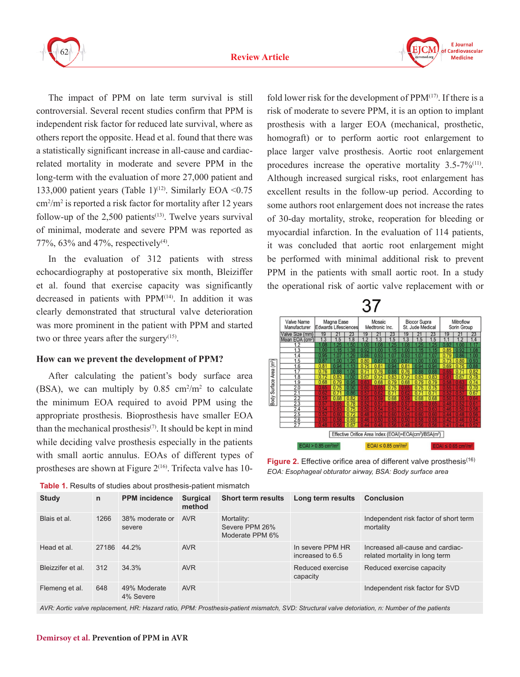



The impact of PPM on late term survival is still controversial. Several recent studies confirm that PPM is independent risk factor for reduced late survival, where as others report the opposite. Head et al. found that there was a statistically significant increase in all-cause and cardiacrelated mortality in moderate and severe PPM in the long-term with the evaluation of more 27,000 patient and 133,000 patient years (Table 1)<sup>(12)</sup>. Similarly EOA <0.75 cm<sup>2</sup> /m<sup>2</sup> is reported a risk factor for mortality after 12 years follow-up of the  $2,500$  patients<sup> $(13)$ </sup>. Twelve years survival of minimal, moderate and severe PPM was reported as 77%, 63% and 47%, respectively<sup>(4)</sup>.

In the evaluation of 312 patients with stress echocardiography at postoperative six month, Bleiziffer et al. found that exercise capacity was significantly decreased in patients with PPM(14). In addition it was clearly demonstrated that structural valve deterioration was more prominent in the patient with PPM and started two or three years after the surgery<sup> $(15)$ </sup>.

#### **How can we prevent the development of PPM?**

After calculating the patient's body surface area (BSA), we can multiply by  $0.85 \text{ cm}^2/\text{m}^2$  to calculate the minimum EOA required to avoid PPM using the appropriate prosthesis. Bioprosthesis have smaller EOA than the mechanical prosthesis<sup>(7)</sup>. It should be kept in mind while deciding valve prosthesis especially in the patients with small aortic annulus. EOAs of different types of prostheses are shown at Figure  $2^{(16)}$ . Trifecta valve has 10-

**Table 1.** Results of studies about prosthesis-patient mismatch

fold lower risk for the development of  $PPM<sup>(17)</sup>$ . If there is a risk of moderate to severe PPM, it is an option to implant prosthesis with a larger EOA (mechanical, prosthetic, homograft) or to perform aortic root enlargement to place larger valve prosthesis. Aortic root enlargement procedures increase the operative mortality 3.5-7%(11). Although increased surgical risks, root enlargement has excellent results in the follow-up period. According to some authors root enlargement does not increase the rates of 30-day mortality, stroke, reoperation for bleeding or myocardial infarction. In the evaluation of 114 patients, it was concluded that aortic root enlargement might be performed with minimal additional risk to prevent PPM in the patients with small aortic root. In a study the operational risk of aortic valve replacement with or





Figure 2. Effective orifice area of different valve prosthesis<sup>(16)</sup> *EOA: Esophageal obturator airway, BSA: Body surface area*

| <b>Study</b>      | n    | <b>PPM</b> incidence      | <b>Surgical</b><br>method | <b>Short term results</b>                       | Long term results                    | <b>Conclusion</b>                                                  |
|-------------------|------|---------------------------|---------------------------|-------------------------------------------------|--------------------------------------|--------------------------------------------------------------------|
| Blais et al.      | 1266 | 38% moderate or<br>severe | <b>AVR</b>                | Mortality:<br>Severe PPM 26%<br>Moderate PPM 6% |                                      | Independent risk factor of short term<br>mortality                 |
| Head et al.       |      | 27186 44.2%               | <b>AVR</b>                |                                                 | In severe PPM HR<br>increased to 6.5 | Increased all-cause and cardiac-<br>related mortality in long term |
| Bleizzifer et al. | 312  | 34.3%                     | <b>AVR</b>                |                                                 | Reduced exercise<br>capacity         | Reduced exercise capacity                                          |
| Flemeng et al.    | 648  | 49% Moderate<br>4% Severe | <b>AVR</b>                |                                                 |                                      | Independent risk factor for SVD                                    |

*AVR: Aortic valve replacement, HR: Hazard ratio, PPM: Prosthesis-patient mismatch, SVD: Structural valve detoriation, n: Number of the patients*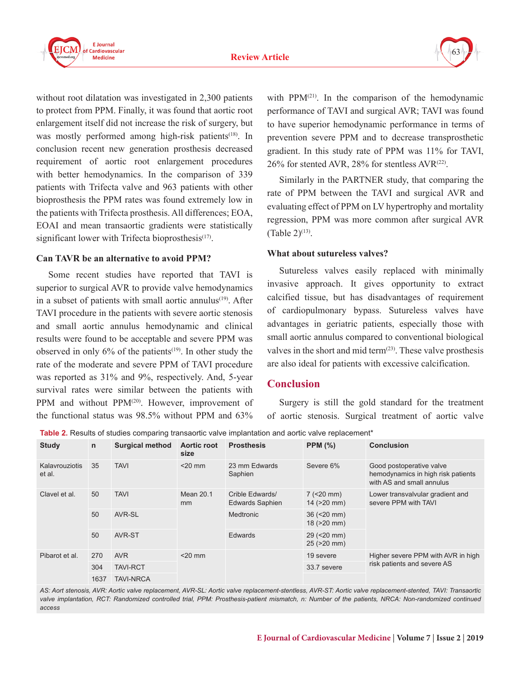



without root dilatation was investigated in 2,300 patients to protect from PPM. Finally, it was found that aortic root enlargement itself did not increase the risk of surgery, but was mostly performed among high-risk patients<sup>(18)</sup>. In conclusion recent new generation prosthesis decreased requirement of aortic root enlargement procedures with better hemodynamics. In the comparison of 339 patients with Trifecta valve and 963 patients with other bioprosthesis the PPM rates was found extremely low in the patients with Trifecta prosthesis. All differences; EOA, EOAI and mean transaortic gradients were statistically significant lower with Trifecta bioprosthesis $(17)$ .

#### **Can TAVR be an alternative to avoid PPM?**

Some recent studies have reported that TAVI is superior to surgical AVR to provide valve hemodynamics in a subset of patients with small aortic annulus<sup>(19)</sup>. After TAVI procedure in the patients with severe aortic stenosis and small aortic annulus hemodynamic and clinical results were found to be acceptable and severe PPM was observed in only  $6\%$  of the patients<sup> $(19)$ </sup>. In other study the rate of the moderate and severe PPM of TAVI procedure was reported as 31% and 9%, respectively. And, 5-year survival rates were similar between the patients with PPM and without PPM<sup>(20)</sup>. However, improvement of the functional status was 98.5% without PPM and 63%

with  $PPM<sup>(21)</sup>$ . In the comparison of the hemodynamic performance of TAVI and surgical AVR; TAVI was found to have superior hemodynamic performance in terms of prevention severe PPM and to decrease transprosthetic gradient. In this study rate of PPM was 11% for TAVI,  $26\%$  for stented AVR,  $28\%$  for stentless AVR<sup>(22)</sup>.

Similarly in the PARTNER study, that comparing the rate of PPM between the TAVI and surgical AVR and evaluating effect of PPM on LV hypertrophy and mortality regression, PPM was more common after surgical AVR  $(Table 2)^{(13)}$ .

#### **What about sutureless valves?**

Sutureless valves easily replaced with minimally invasive approach. It gives opportunity to extract calcified tissue, but has disadvantages of requirement of cardiopulmonary bypass. Sutureless valves have advantages in geriatric patients, especially those with small aortic annulus compared to conventional biological valves in the short and mid term $(23)$ . These valve prosthesis are also ideal for patients with excessive calcification.

## **Conclusion**

Surgery is still the gold standard for the treatment of aortic stenosis. Surgical treatment of aortic valve

**Table 2.** Results of studies comparing transaortic valve implantation and aortic valve replacement<sup>\*</sup>

| <b>Study</b>             | $\mathsf{n}$ | <b>Surgical method</b> | Aortic root<br>size        | <b>Prosthesis</b>                         | PPM $(\%)$                        | <b>Conclusion</b>                                                                           |  |  |  |  |
|--------------------------|--------------|------------------------|----------------------------|-------------------------------------------|-----------------------------------|---------------------------------------------------------------------------------------------|--|--|--|--|
| Kalavrouziotis<br>et al. | 35           | <b>TAVI</b>            | $<$ 20 mm                  | 23 mm Edwards<br>Saphien                  | Severe 6%                         | Good postoperative valve<br>hemodynamics in high risk patients<br>with AS and small annulus |  |  |  |  |
| Clavel et al.            | 50           | <b>TAVI</b>            | Mean 20.1<br><sub>mm</sub> | Crible Edwards/<br><b>Edwards Saphien</b> | $7$ (<20 mm)<br>$14$ ( $>20$ mm)  | Lower transvalvular gradient and<br>severe PPM with TAVI                                    |  |  |  |  |
|                          | 50           | AVR-SL                 |                            | <b>Medtronic</b>                          | $36$ (<20 mm)<br>$18$ ( $>20$ mm) |                                                                                             |  |  |  |  |
|                          | 50           | AVR-ST                 |                            | <b>Edwards</b>                            | $29$ (<20 mm)<br>$25$ ( $>20$ mm) |                                                                                             |  |  |  |  |
| Pibarot et al.           | 270          | <b>AVR</b>             | $<$ 20 mm                  |                                           | 19 severe                         | Higher severe PPM with AVR in high<br>risk patients and severe AS                           |  |  |  |  |
|                          | 304          | <b>TAVI-RCT</b>        |                            |                                           | 33.7 severe                       |                                                                                             |  |  |  |  |
|                          | 1637         | <b>TAVI-NRCA</b>       |                            |                                           |                                   |                                                                                             |  |  |  |  |

*AS: Aort stenosis, AVR: Aortic valve replacement, AVR-SL: Aortic valve replacement-stentless, AVR-ST: Aortic valve replacement-stented, TAVI: Transaortic*  valve implantation, RCT: Randomized controlled trial, PPM: Prosthesis-patient mismatch, n: Number of the patients, NRCA: Non-randomized continued *access*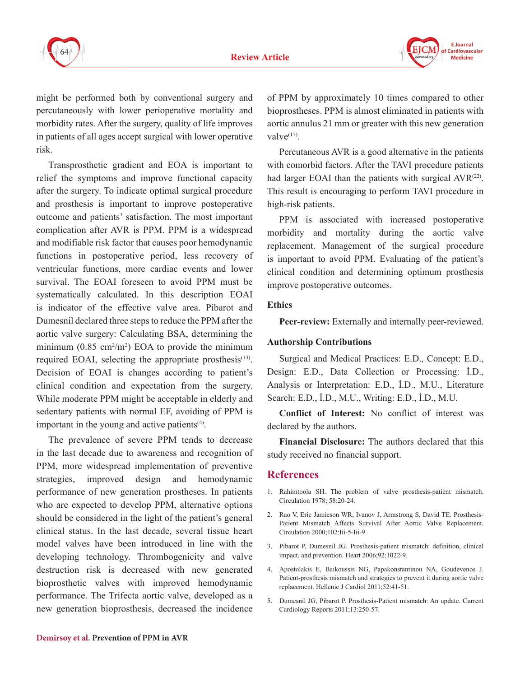



might be performed both by conventional surgery and percutaneously with lower perioperative mortality and morbidity rates. After the surgery, quality of life improves in patients of all ages accept surgical with lower operative risk.

Transprosthetic gradient and EOA is important to relief the symptoms and improve functional capacity after the surgery. To indicate optimal surgical procedure and prosthesis is important to improve postoperative outcome and patients' satisfaction. The most important complication after AVR is PPM. PPM is a widespread and modifiable risk factor that causes poor hemodynamic functions in postoperative period, less recovery of ventricular functions, more cardiac events and lower survival. The EOAI foreseen to avoid PPM must be systematically calculated. In this description EOAI is indicator of the effective valve area. Pibarot and Dumesnil declared three steps to reduce the PPM after the aortic valve surgery: Calculating BSA, determining the minimum  $(0.85 \text{ cm}^2/\text{m}^2)$  EOA to provide the minimum required EOAI, selecting the appropriate prosthesis<sup>(13)</sup>. Decision of EOAI is changes according to patient's clinical condition and expectation from the surgery. While moderate PPM might be acceptable in elderly and sedentary patients with normal EF, avoiding of PPM is important in the young and active patients<sup>(4)</sup>.

The prevalence of severe PPM tends to decrease in the last decade due to awareness and recognition of PPM, more widespread implementation of preventive strategies, improved design and hemodynamic performance of new generation prostheses. In patients who are expected to develop PPM, alternative options should be considered in the light of the patient's general clinical status. In the last decade, several tissue heart model valves have been introduced in line with the developing technology. Thrombogenicity and valve destruction risk is decreased with new generated bioprosthetic valves with improved hemodynamic performance. The Trifecta aortic valve, developed as a new generation bioprosthesis, decreased the incidence

of PPM by approximately 10 times compared to other bioprostheses. PPM is almost eliminated in patients with aortic annulus 21 mm or greater with this new generation valve $(17)$ .

Percutaneous AVR is a good alternative in the patients with comorbid factors. After the TAVI procedure patients had larger EOAI than the patients with surgical  $AVR^{(22)}$ . This result is encouraging to perform TAVI procedure in high-risk patients.

PPM is associated with increased postoperative morbidity and mortality during the aortic valve replacement. Management of the surgical procedure is important to avoid PPM. Evaluating of the patient's clinical condition and determining optimum prosthesis improve postoperative outcomes.

#### **Ethics**

**Peer-review:** Externally and internally peer-reviewed.

#### **Authorship Contributions**

Surgical and Medical Practices: E.D., Concept: E.D., Design: E.D., Data Collection or Processing: İ.D., Analysis or Interpretation: E.D., İ.D., M.U., Literature Search: E.D., İ.D., M.U., Writing: E.D., İ.D., M.U.

**Conflict of Interest:** No conflict of interest was declared by the authors.

**Financial Disclosure:** The authors declared that this study received no financial support.

#### **References**

- 1. Rahimtoola SH. The problem of valve prosthesis-patient mismatch. Circulation 1978; 58:20-24.
- 2. Rao V, Eric Jamieson WR, Ivanov J, Armstrong S, David TE. Prosthesis-Patient Mismatch Affects Survival After Aortic Valve Replacement. Circulation 2000;102:Iii-5-Iii-9.
- 3. Pibarot P, Dumesnil JG. Prosthesis-patient mismatch: definition, clinical impact, and prevention. Heart 2006;92:1022-9.
- 4. Apostolakis E, Baikoussis NG, Papakonstantinou NA, Goudevenos J. Patient-prosthesis mismatch and strategies to prevent it during aortic valve replacement. Hellenic J Cardiol 2011;52:41-51.
- 5. Dumesnil JG, Pibarot P. Prosthesis-Patient mismatch: An update. Current Cardiology Reports 2011;13:250-57.